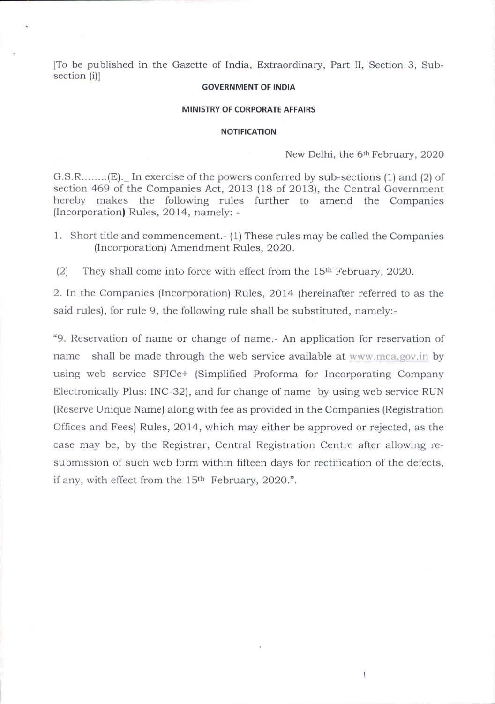[To be published in the Gazette of India, Extraordinary, Part II, Section 3, Subsection (i)l

## GOVERNMENT OF INDIA

## MINISTRY OF CORPORATE AFFAIRS

## NOTIFICATION

New Delhi, the 6<sup>th</sup> February, 2020

١

G.S.R........(E).\_ In exercise of the powers conferred by sub-sections (1) and (2) of section 469 of the Companies Act, 2013 (18 of 2013), the Central Government hereby makes the following rules further to amend the Companies (Incorporation) Rules, 2014, namely: -

1. Short title and commencement.- (1) These rules may be cailed the Companies (lncorporation) Amendment Rules, 2020.

(2) They shall come into force with effect from the  $15<sup>th</sup>$  February, 2020.

2. In the Companies (Incorporation) Rules, 2014 (hereinafter referred to as the said rules), for rule 9, the following rule shall be substituted, namely:-

"9. Reservation of name or change of name.- An application for reservation of name shall be made through the web service available at www.mca.gov.in by using web service SPICe+ (Simplified Proforma for Incorporating Company Electronically Plus: INC-32), and for change of name by using web service RUN (Reserve Unique Name) along with fee as provided in the Companies (Registration Offices and Fees) Rules, 2014, which may either be approved or rejected, as the case may be, by the Registrar, Central Registration Centre after allowing resubmission of such web form within fifteen days for rectification of the defects, if any, with effect from the 15<sup>th</sup> February, 2020.".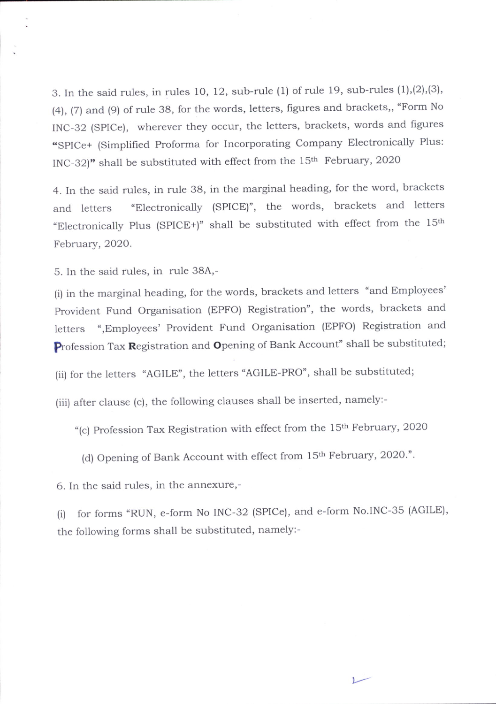3. In the said rules, in rules 10, 12, sub-rule  $(1)$  of rule 19, sub-rules  $(1),(2),(3)$ , (a), (7) and (9) of rule 38, for the words, letters, figures and brackets,, "Form No INC-32 (SPICe), wherever they occur, the letters, brackets, words and figures .splce+ (Simplified Proforma for Incorporating company Electronically Plus: INC-32)" shall be substituted with effect from the  $15<sup>th</sup>$  February, 2020

4. In the said rules, in rule 38, in the marginal heading, for the word, brackets and letters "Electronically (SPICE)", the words, brackets and letters "Electronically Plus (SPICE+)" shall be substituted with effect from the  $15<sup>th</sup>$ February,2020.

5. In the said rules, in rule 38A,-

(i) in the marginal heading, for the words, brackets and letters "and Employees', provident Fund Organisation (EPFO) Registration", the words, brackets and letters ",Employees' Provident Fund organisation (EPFO) Registration and Profession Tax Registration and Opening of Bank Account" shall be substituted;

(ii) for the letters "AGILE", the letters "AGILE-PRO", shall be substituted;

(iii) after clause (c), the following clauses shall be inserted, namely:-

"(c) Profession Tax Registration with effect from the 15<sup>th</sup> February, 2020

(d) Opening of Bank Account with effect from 15th February, 2020.".

6. In the said rules, in the annexure,-

(i) for forms "RUN, e-form No INC-32 (SPICe), and e-form No.INC-35 (AGILE), the following forms shall be substituted, namely:-

t.--